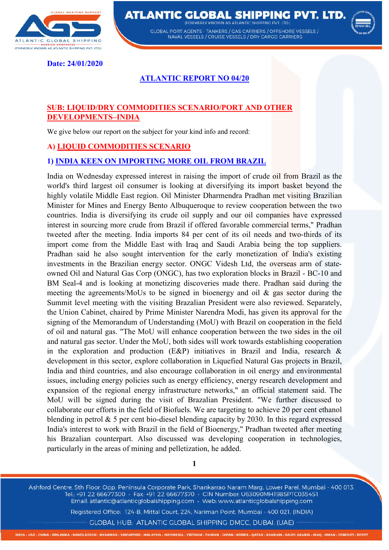

**ATLANTIC GLOBAL SHIPPING PVT. LTD. EODMEDIV KNOWN AS ATLANTIC SHIDDING BVT LTD.** 

> GLOBAL PORT AGENTS - TANKERS / GAS CARRIERS / OFFSHORE VESSELS / NAVAL VESSELS / CRUISE VESSELS / DRY CARGO CARRIERS



**Date: 24/01/2020** 

## **ATLANTIC REPORT NO 04/20**

### **SUB: LIQUID/DRY COMMODITIES SCENARIO/PORT AND OTHER DEVELOPMENTS–INDIA**

We give below our report on the subject for your kind info and record:

#### **A) LIQUID COMMODITIES SCENARIO**

#### **1) INDIA KEEN ON IMPORTING MORE OIL FROM BRAZIL**

India on Wednesday expressed interest in raising the import of crude oil from Brazil as the world's third largest oil consumer is looking at diversifying its import basket beyond the highly volatile Middle East region. Oil Minister Dharmendra Pradhan met visiting Brazilian Minister for Mines and Energy Bento Albuqueroque to review cooperation between the two countries. India is diversifying its crude oil supply and our oil companies have expressed interest in sourcing more crude from Brazil if offered favorable commercial terms," Pradhan tweeted after the meeting. India imports 84 per cent of its oil needs and two-thirds of its import come from the Middle East with Iraq and Saudi Arabia being the top suppliers. Pradhan said he also sought intervention for the early monetization of India's existing investments in the Brazilian energy sector. ONGC Videsh Ltd, the overseas arm of stateowned Oil and Natural Gas Corp (ONGC), has two exploration blocks in Brazil - BC-10 and BM Seal-4 and is looking at monetizing discoveries made there. Pradhan said during the meeting the agreements/MoUs to be signed in bioenergy and oil & gas sector during the Summit level meeting with the visiting Brazalian President were also reviewed. Separately, the Union Cabinet, chaired by Prime Minister Narendra Modi, has given its approval for the signing of the Memorandum of Understanding (MoU) with Brazil on cooperation in the field of oil and natural gas. "The MoU will enhance cooperation between the two sides in the oil and natural gas sector. Under the MoU, both sides will work towards establishing cooperation in the exploration and production (E&P) initiatives in Brazil and India, research  $\&$ development in this sector, explore collaboration in Liquefied Natural Gas projects in Brazil, India and third countries, and also encourage collaboration in oil energy and environmental issues, including energy policies such as energy efficiency, energy research development and expansion of the regional energy infrastructure networks," an official statement said. The MoU will be signed during the visit of Brazalian President. "We further discussed to collaborate our efforts in the field of Biofuels. We are targeting to achieve 20 per cent ethanol blending in petrol & 5 per cent bio-diesel blending capacity by 2030. In this regard expressed India's interest to work with Brazil in the field of Bioenergy," Pradhan tweeted after meeting his Brazalian counterpart. Also discussed was developing cooperation in technologies, particularly in the areas of mining and pelletization, he added.

**1**

Ashford Centre, 5th Floor, Opp. Peninsula Corporate Park, Shankarrao Naram Marg, Lower Parel, Mumbai - 400 013. Tel.: +91 22 66677300 · Fax: +91 22 66677370 · CIN Number: U63090MH1985PTC035451 Email: atlantic@atlanticglobalshipping.com · Web: www.atlanticglobalshipping.com

Registered Office: 124-B, Mittal Court, 224, Nariman Point, Mumbai - 400 021, (INDIA)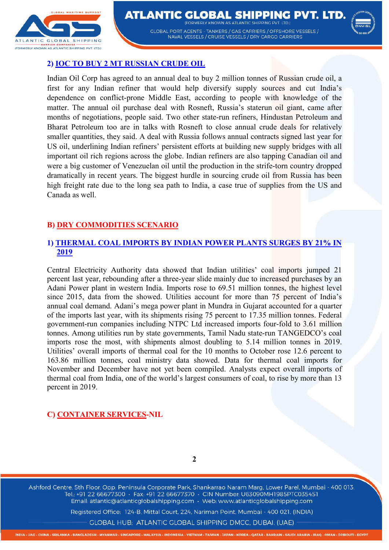

**ATLANTIC GLOBAL SHIPPING PVT. LTD. (FODMEDIV KNOWN AS ATLANTIC SHIDDING BVT LTD.)** GLOBAL PORT AGENTS - TANKERS / GAS CARRIERS / OFFSHORE VESSELS / NAVAL VESSELS / CRUISE VESSELS / DRY CARGO CARRIERS



#### **2) IOC TO BUY 2 MT RUSSIAN CRUDE OIL**

Indian Oil Corp has agreed to an annual deal to buy 2 million tonnes of Russian crude oil, a first for any Indian refiner that would help diversify supply sources and cut India's dependence on conflict-prone Middle East, according to people with knowledge of the matter. The annual oil purchase deal with Rosneft, Russia's staterun oil giant, came after months of negotiations, people said. Two other state-run refiners, Hindustan Petroleum and Bharat Petroleum too are in talks with Rosneft to close annual crude deals for relatively smaller quantities, they said. A deal with Russia follows annual contracts signed last year for US oil, underlining Indian refiners' persistent efforts at building new supply bridges with all important oil rich regions across the globe. Indian refiners are also tapping Canadian oil and were a big customer of Venezuelan oil until the production in the strife-torn country dropped dramatically in recent years. The biggest hurdle in sourcing crude oil from Russia has been high freight rate due to the long sea path to India, a case true of supplies from the US and Canada as well.

## **B) DRY COMMODITIES SCENARIO**

#### **1) THERMAL COAL IMPORTS BY INDIAN POWER PLANTS SURGES BY 21% IN 2019**

Central Electricity Authority data showed that Indian utilities' coal imports jumped 21 percent last year, rebounding after a three-year slide mainly due to increased purchases by an Adani Power plant in western India. Imports rose to 69.51 million tonnes, the highest level since 2015, data from the showed. Utilities account for more than 75 percent of India's annual coal demand. Adani's mega power plant in Mundra in Gujarat accounted for a quarter of the imports last year, with its shipments rising 75 percent to 17.35 million tonnes. Federal government-run companies including NTPC Ltd increased imports four-fold to 3.61 million tonnes. Among utilities run by state governments, Tamil Nadu state-run TANGEDCO's coal imports rose the most, with shipments almost doubling to 5.14 million tonnes in 2019. Utilities' overall imports of thermal coal for the 10 months to October rose 12.6 percent to 163.86 million tonnes, coal ministry data showed. Data for thermal coal imports for November and December have not yet been compiled. Analysts expect overall imports of thermal coal from India, one of the world's largest consumers of coal, to rise by more than 13 percent in 2019.

## **C) CONTAINER SERVICES-NIL**

**2**

Ashford Centre, 5th Floor, Opp. Peninsula Corporate Park, Shankarrao Naram Marg, Lower Parel, Mumbai - 400 013. Tel.: +91 22 66677300 · Fax: +91 22 66677370 · CIN Number: U63090MH1985PTC035451 Email: atlantic@atlanticglobalshipping.com · Web: www.atlanticglobalshipping.com

Registered Office: 124-B, Mittal Court, 224, Nariman Point, Mumbai - 400 021, (INDIA)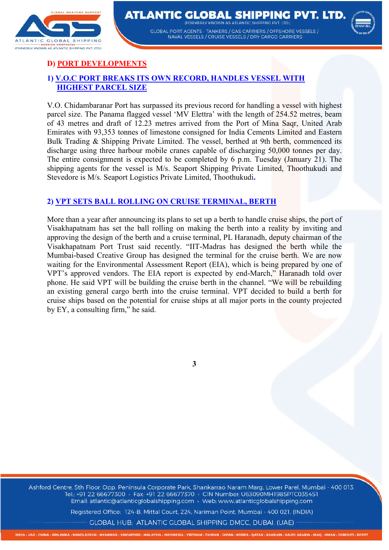

**ATLANTIC GLOBAL SHIPPING PVT. LTD. EODMEDIV KNOWN AS ATLANTIC SHIDDING BVT LTD. GLOBAL PORT AGENTS - TANKERS / GAS CARRIERS / OFFSHORE VESSELS /** NAVAL VESSELS / CRUISE VESSELS / DRY CARGO CARRIERS



# **D) PORT DEVELOPMENTS**

# **1) V.O.C PORT BREAKS ITS OWN RECORD, HANDLES VESSEL WITH HIGHEST PARCEL SIZE**

V.O. Chidambaranar Port has surpassed its previous record for handling a vessel with highest parcel size. The Panama flagged vessel 'MV Elettra' with the length of 254.52 metres, beam of 43 metres and draft of 12.23 metres arrived from the Port of Mina Saqr, United Arab Emirates with 93,353 tonnes of limestone consigned for India Cements Limited and Eastern Bulk Trading & Shipping Private Limited. The vessel, berthed at 9th berth, commenced its discharge using three harbour mobile cranes capable of discharging 50,000 tonnes per day. The entire consignment is expected to be completed by 6 p.m. Tuesday (January 21). The shipping agents for the vessel is M/s. Seaport Shipping Private Limited, Thoothukudi and Stevedore is M/s. Seaport Logistics Private Limited, Thoothukudi**.**

### **2) VPT SETS BALL ROLLING ON CRUISE TERMINAL, BERTH**

More than a year after announcing its plans to set up a berth to handle cruise ships, the port of Visakhapatnam has set the ball rolling on making the berth into a reality by inviting and approving the design of the berth and a cruise terminal, PL Haranadh, deputy chairman of the Visakhapatnam Port Trust said recently. "IIT-Madras has designed the berth while the Mumbai-based Creative Group has designed the terminal for the cruise berth. We are now waiting for the Environmental Assessment Report (EIA), which is being prepared by one of VPT's approved vendors. The EIA report is expected by end-March," Haranadh told over phone. He said VPT will be building the cruise berth in the channel. "We will be rebuilding an existing general cargo berth into the cruise terminal. VPT decided to build a berth for cruise ships based on the potential for cruise ships at all major ports in the county projected by EY, a consulting firm," he said.

**3**

Ashford Centre, 5th Floor, Opp. Peninsula Corporate Park, Shankarrao Naram Marg, Lower Parel, Mumbai - 400 013. Tel.: +91 22 66677300 · Fax: +91 22 66677370 · CIN Number: U63090MH1985PTC035451 Email: atlantic@atlanticglobalshipping.com · Web: www.atlanticglobalshipping.com

Registered Office: 124-B, Mittal Court, 224, Nariman Point, Mumbai - 400 021, (INDIA)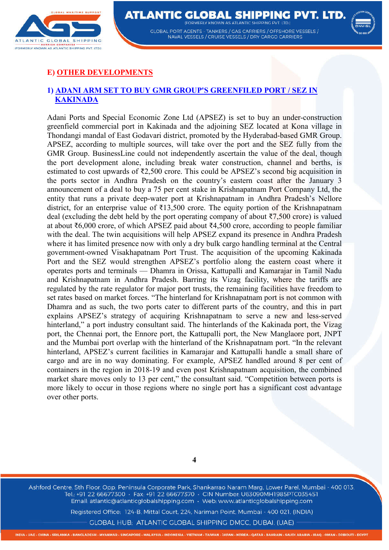

**ATLANTIC GLOBAL SHIPPING PVT. LTD. (FODMEDIV KNOWN AS ATLANTIC SHIDDING BVT LTD.)** GLOBAL PORT AGENTS - TANKERS / GAS CARRIERS / OFFSHORE VESSELS / NAVAL VESSELS / CRUISE VESSELS / DRY CARGO CARRIERS



# **E) OTHER DEVELOPMENTS**

#### **1) ADANI ARM SET TO BUY GMR GROUP'S GREENFILED PORT / SEZ IN KAKINADA**

Adani Ports and Special Economic Zone Ltd (APSEZ) is set to buy an under-construction greenfield commercial port in Kakinada and the adjoining SEZ located at Kona village in Thondangi mandal of East Godavari district, promoted by the Hyderabad-based GMR Group. APSEZ, according to multiple sources, will take over the port and the SEZ fully from the GMR Group. BusinessLine could not independently ascertain the value of the deal, though the port development alone, including break water construction, channel and berths, is estimated to cost upwards of ₹2,500 crore. This could be APSEZ's second big acquisition in the ports sector in Andhra Pradesh on the country's eastern coast after the January 3 announcement of a deal to buy a 75 per cent stake in Krishnapatnam Port Company Ltd, the entity that runs a private deep-water port at Krishnapatnam in Andhra Pradesh's Nellore district, for an enterprise value of ₹13,500 crore. The equity portion of the Krishnapatnam deal (excluding the debt held by the port operating company of about  $\overline{57,500}$  crore) is valued at about ₹6,000 crore, of which APSEZ paid about ₹4,500 crore, according to people familiar with the deal. The twin acquisitions will help APSEZ expand its presence in Andhra Pradesh where it has limited presence now with only a dry bulk cargo handling terminal at the Central government-owned Visakhapatnam Port Trust. The acquisition of the upcoming Kakinada Port and the SEZ would strengthen APSEZ's portfolio along the eastern coast where it operates ports and terminals — Dhamra in Orissa, Kattupalli and Kamarajar in Tamil Nadu and Krishnapatnam in Andhra Pradesh. Barring its Vizag facility, where the tariffs are regulated by the rate regulator for major port trusts, the remaining facilities have freedom to set rates based on market forces. "The hinterland for Krishnapatnam port is not common with Dhamra and as such, the two ports cater to different parts of the country, and this in part explains APSEZ's strategy of acquiring Krishnapatnam to serve a new and less-served hinterland," a port industry consultant said. The hinterlands of the Kakinada port, the Vizag port, the Chennai port, the Ennore port, the Kattupalli port, the New Manglaore port, JNPT and the Mumbai port overlap with the hinterland of the Krishnapatnam port. "In the relevant hinterland, APSEZ's current facilities in Kamarajar and Kattupalli handle a small share of cargo and are in no way dominating. For example, APSEZ handled around 8 per cent of containers in the region in 2018-19 and even post Krishnapatnam acquisition, the combined market share moves only to 13 per cent," the consultant said. "Competition between ports is more likely to occur in those regions where no single port has a significant cost advantage over other ports.

**4**

Ashford Centre, 5th Floor, Opp. Peninsula Corporate Park, Shankarrao Naram Marg, Lower Parel, Mumbai - 400 013. Tel.: +91 22 66677300 · Fax: +91 22 66677370 · CIN Number: U63090MH1985PTC035451 Email: atlantic@atlanticglobalshipping.com · Web: www.atlanticglobalshipping.com

Registered Office: 124-B, Mittal Court, 224, Nariman Point, Mumbai - 400 021, (INDIA)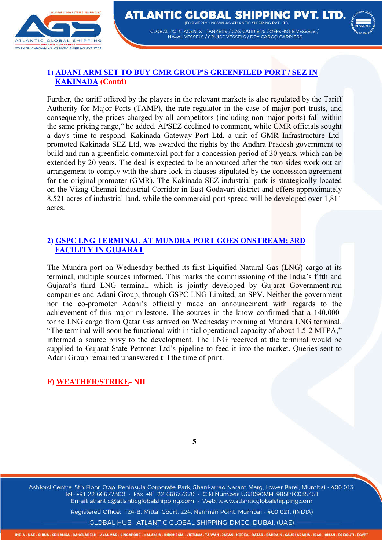

#### **ATLANTIC GLOBAL SHIPPING PVT. LTD. (FODMEDIV KNOWN AS ATLANTIC SHIDDING BVT LTD.)** GLOBAL PORT AGENTS - TANKERS / GAS CARRIERS / OFFSHORE VESSELS / NAVAL VESSELS / CRUISE VESSELS / DRY CARGO CARRIERS



# **1) ADANI ARM SET TO BUY GMR GROUP'S GREENFILED PORT / SEZ IN KAKINADA (Contd)**

Further, the tariff offered by the players in the relevant markets is also regulated by the Tariff Authority for Major Ports (TAMP), the rate regulator in the case of major port trusts, and consequently, the prices charged by all competitors (including non-major ports) fall within the same pricing range," he added. APSEZ declined to comment, while GMR officials sought a day's time to respond. Kakinada Gateway Port Ltd, a unit of GMR Infrastructure Ltdpromoted Kakinada SEZ Ltd, was awarded the rights by the Andhra Pradesh government to build and run a greenfield commercial port for a concession period of 30 years, which can be extended by 20 years. The deal is expected to be announced after the two sides work out an arrangement to comply with the share lock-in clauses stipulated by the concession agreement for the original promoter (GMR). The Kakinada SEZ industrial park is strategically located on the Vizag-Chennai Industrial Corridor in East Godavari district and offers approximately 8,521 acres of industrial land, while the commercial port spread will be developed over 1,811 acres.

## **2) GSPC LNG TERMINAL AT MUNDRA PORT GOES ONSTREAM; 3RD FACILITY IN GUJARAT**

The Mundra port on Wednesday berthed its first Liquified Natural Gas (LNG) cargo at its terminal, multiple sources informed. This marks the commissioning of the India's fifth and Gujarat's third LNG terminal, which is jointly developed by Gujarat Government-run companies and Adani Group, through GSPC LNG Limited, an SPV. Neither the government nor the co-promoter Adani's officially made an announcement with regards to the achievement of this major milestone. The sources in the know confirmed that a 140,000 tonne LNG cargo from Qatar Gas arrived on Wednesday morning at Mundra LNG terminal. "The terminal will soon be functional with initial operational capacity of about 1.5-2 MTPA," informed a source privy to the development. The LNG received at the terminal would be supplied to Gujarat State Petronet Ltd's pipeline to feed it into the market. Queries sent to Adani Group remained unanswered till the time of print.

## **F) WEATHER/STRIKE- NIL**

**5**

Ashford Centre, 5th Floor, Opp. Peninsula Corporate Park, Shankarrao Naram Marg, Lower Parel, Mumbai - 400 013. Tel.: +91 22 66677300 · Fax: +91 22 66677370 · CIN Number: U63090MH1985PTC035451 Email: atlantic@atlanticglobalshipping.com · Web: www.atlanticglobalshipping.com

Registered Office: 124-B, Mittal Court, 224, Nariman Point, Mumbai - 400 021, (INDIA)